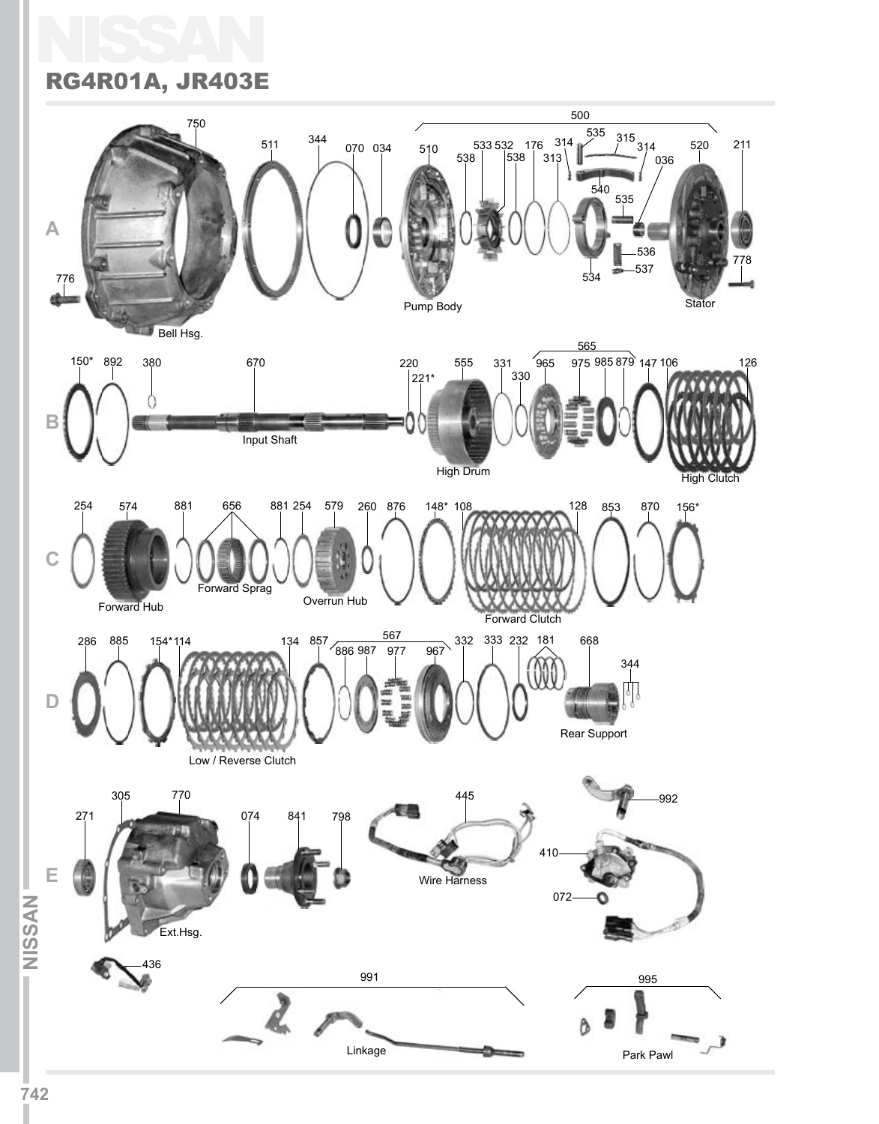### NISSAN RG4R01A, JR403E

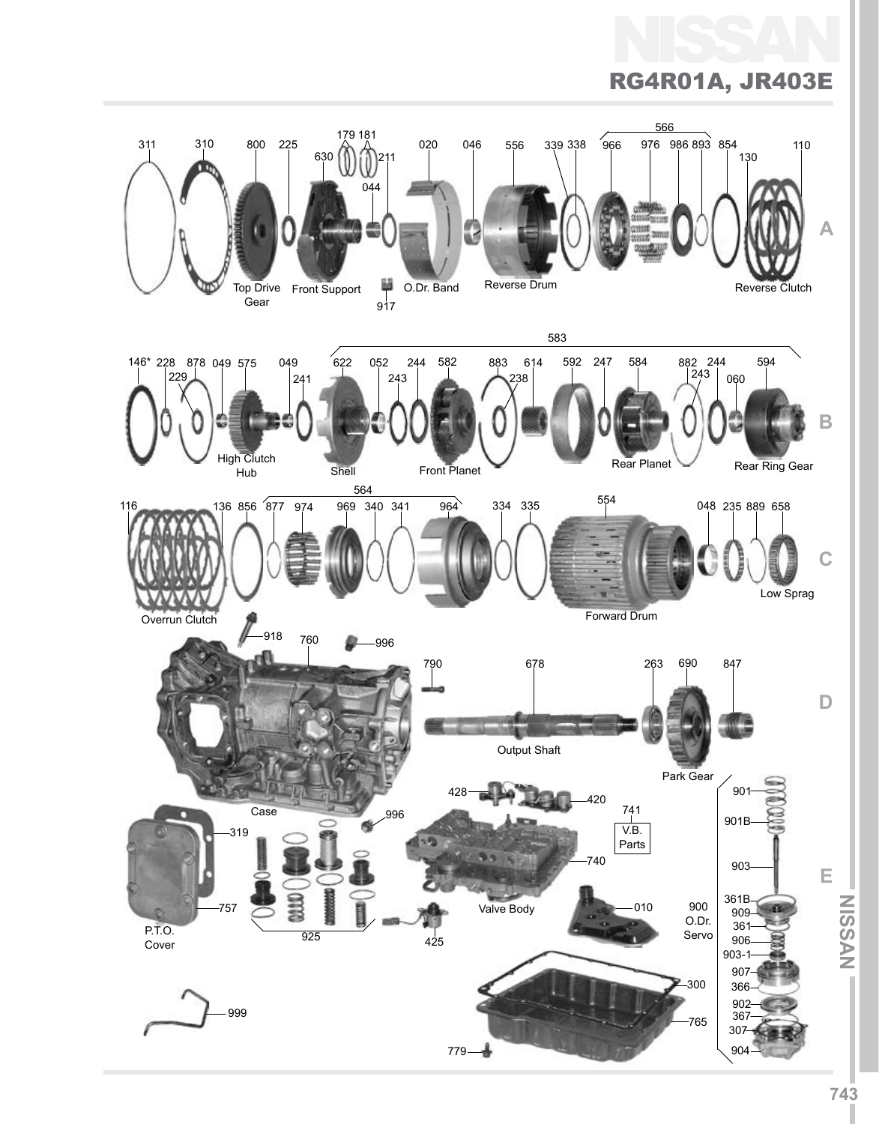

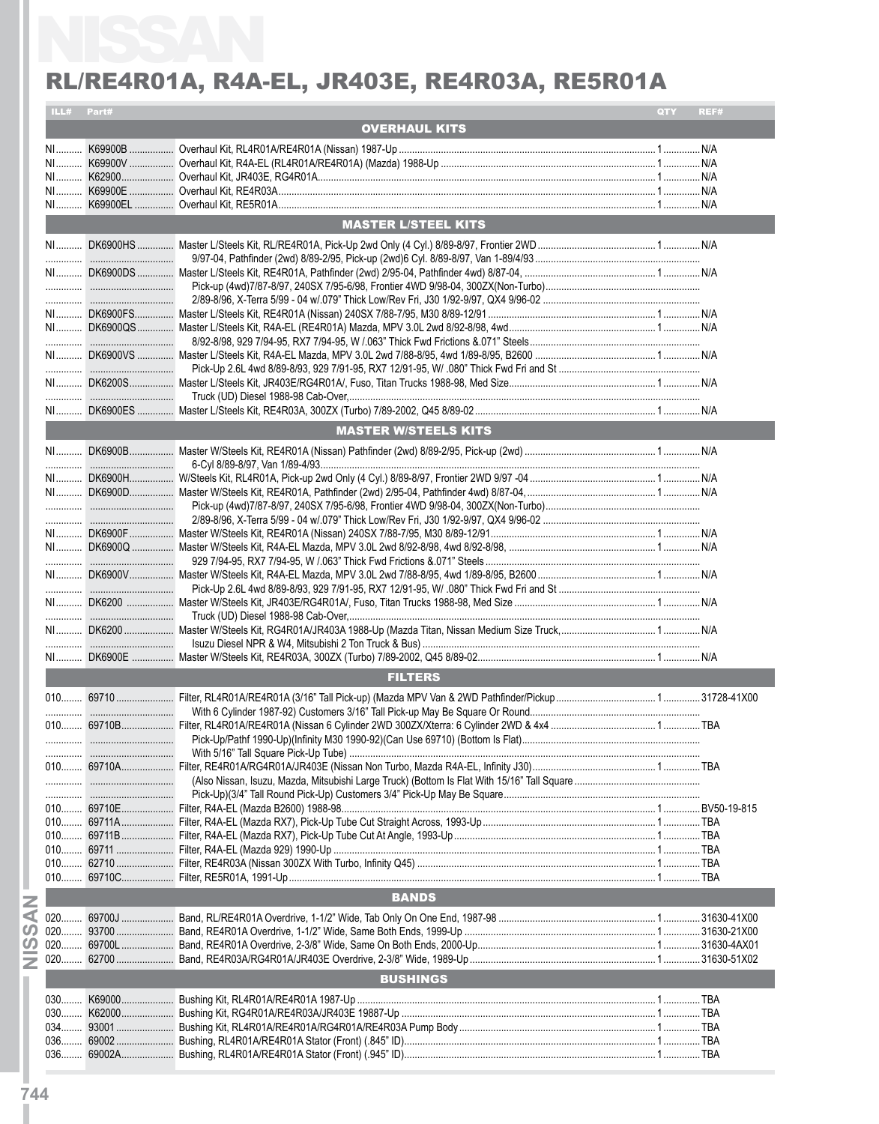|       | ILL# Part# |                             | QTY | REF# |
|-------|------------|-----------------------------|-----|------|
|       |            | <b>OVERHAUL KITS</b>        |     |      |
|       |            |                             |     |      |
|       |            |                             |     |      |
|       |            |                             |     |      |
|       |            |                             |     |      |
|       |            |                             |     |      |
|       |            | <b>MASTER L/STEEL KITS</b>  |     |      |
|       |            |                             |     |      |
|       |            |                             |     |      |
|       |            |                             |     |      |
|       |            |                             |     |      |
|       |            |                             |     |      |
|       |            |                             |     |      |
|       |            |                             |     |      |
|       |            |                             |     |      |
|       |            |                             |     |      |
|       |            |                             |     |      |
|       |            |                             |     |      |
|       |            | <b>MASTER W/STEELS KITS</b> |     |      |
|       |            |                             |     |      |
|       |            |                             |     |      |
|       |            |                             |     |      |
|       |            |                             |     |      |
|       |            |                             |     |      |
|       |            |                             |     |      |
|       |            |                             |     |      |
|       |            |                             |     |      |
|       |            |                             |     |      |
|       |            |                             |     |      |
|       |            |                             |     |      |
|       |            |                             |     |      |
|       |            |                             |     |      |
|       |            |                             |     |      |
|       |            | <b>FILTERS</b>              |     |      |
|       |            |                             |     |      |
|       |            |                             |     |      |
|       |            |                             |     |      |
|       |            |                             |     |      |
|       |            |                             |     |      |
|       |            |                             |     |      |
|       |            |                             |     |      |
|       |            |                             |     |      |
|       |            |                             |     |      |
|       |            |                             |     |      |
|       |            |                             |     |      |
|       |            |                             |     |      |
|       |            | <b>BANDS</b>                |     |      |
|       |            |                             |     |      |
|       |            |                             |     |      |
|       |            |                             |     |      |
|       |            |                             |     |      |
|       |            | <b>BUSHINGS</b>             |     |      |
|       |            |                             |     |      |
| $030$ |            |                             |     |      |
|       |            |                             |     |      |
| $036$ |            |                             |     |      |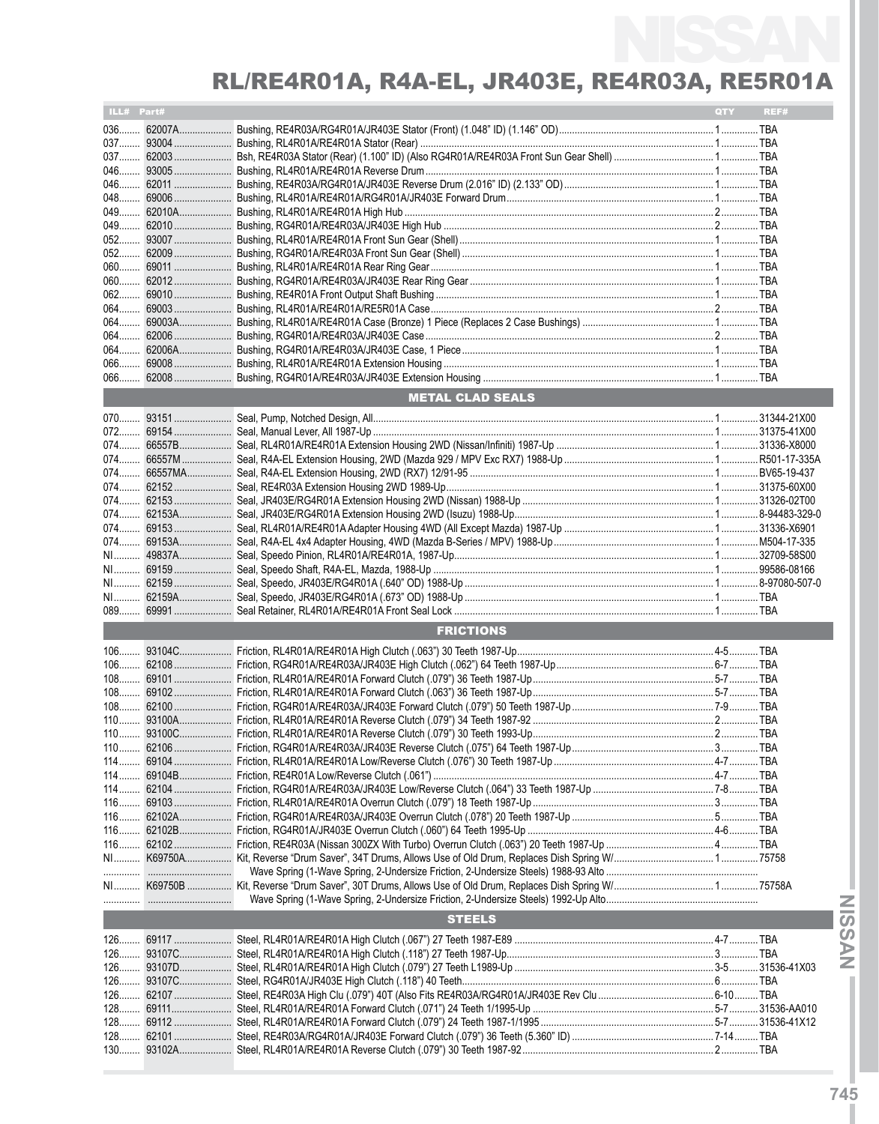| ILL# Part#<br><b>METAL CLAD SEALS</b><br><b>FRICTIONS</b><br><b>STEELS</b> | <b>QTY</b> | REF# |
|----------------------------------------------------------------------------|------------|------|
|                                                                            |            |      |
|                                                                            |            |      |
| $052$                                                                      |            |      |
|                                                                            |            |      |
|                                                                            |            |      |
|                                                                            |            |      |
|                                                                            |            |      |
|                                                                            |            |      |
|                                                                            |            |      |
|                                                                            |            |      |
|                                                                            |            |      |
|                                                                            |            |      |
|                                                                            |            |      |
|                                                                            |            |      |
|                                                                            |            |      |
|                                                                            |            |      |
|                                                                            |            |      |
|                                                                            |            |      |
|                                                                            |            |      |
|                                                                            |            |      |
|                                                                            |            |      |
|                                                                            |            |      |
|                                                                            |            |      |
|                                                                            |            |      |
|                                                                            |            |      |
|                                                                            |            |      |
|                                                                            |            |      |
|                                                                            |            |      |
|                                                                            |            |      |
|                                                                            |            |      |
|                                                                            |            |      |
|                                                                            |            |      |
|                                                                            |            |      |
|                                                                            |            |      |
|                                                                            |            |      |
|                                                                            |            |      |
|                                                                            |            |      |
|                                                                            |            |      |
|                                                                            |            |      |
|                                                                            |            |      |
|                                                                            |            |      |
|                                                                            |            |      |
|                                                                            |            |      |
|                                                                            |            |      |
|                                                                            |            |      |
|                                                                            |            |      |
|                                                                            |            |      |
|                                                                            |            |      |
|                                                                            |            |      |
|                                                                            |            |      |
|                                                                            |            |      |
|                                                                            |            |      |
|                                                                            |            |      |
|                                                                            |            |      |
|                                                                            |            |      |
|                                                                            |            |      |
|                                                                            |            |      |
|                                                                            |            |      |
|                                                                            |            |      |
|                                                                            |            |      |
|                                                                            |            |      |
|                                                                            |            |      |
|                                                                            |            |      |
|                                                                            |            |      |
|                                                                            |            |      |
|                                                                            |            |      |
|                                                                            |            |      |
|                                                                            |            |      |
|                                                                            |            |      |
|                                                                            |            |      |
|                                                                            |            |      |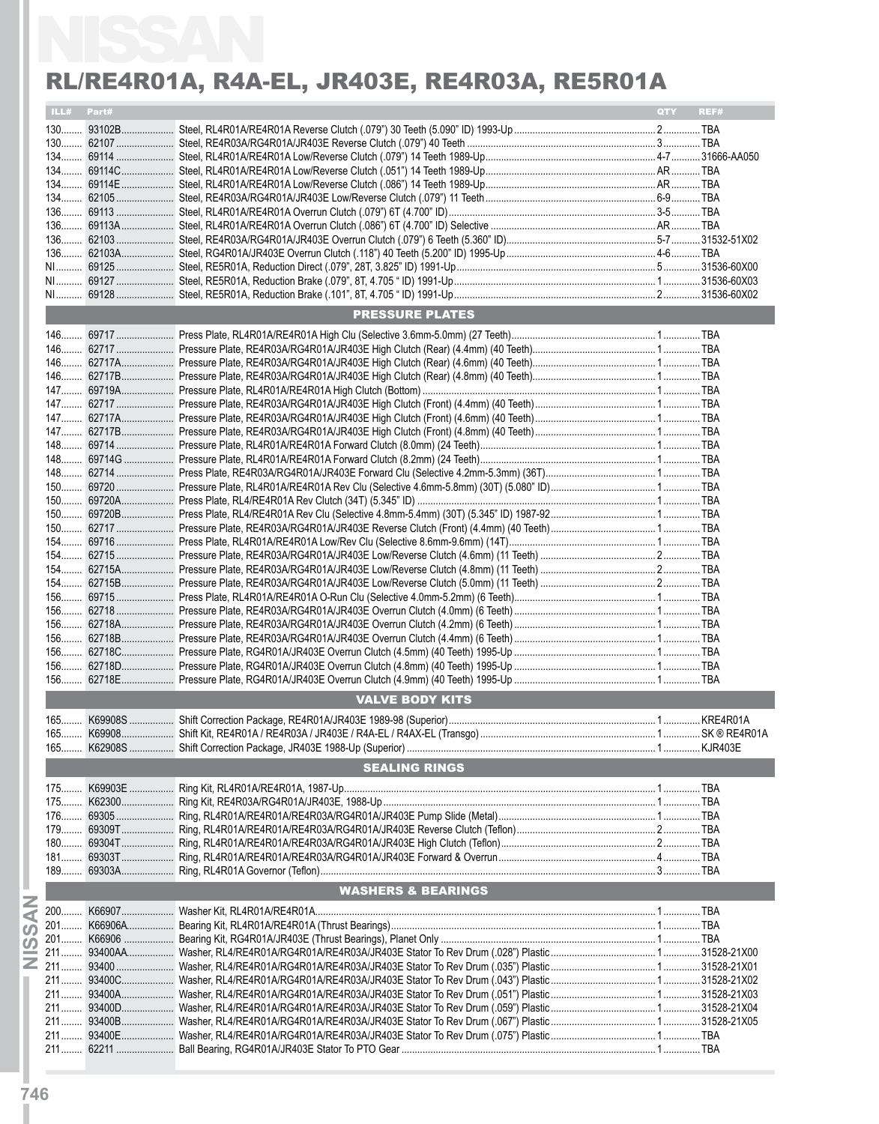|            | RL/RE4R01A, R4A-EL, JR403E, RE4R03A, RE5R01A |     |      |
|------------|----------------------------------------------|-----|------|
| ILL# Part# |                                              | QTY | REF# |
|            |                                              |     |      |
|            |                                              |     |      |
|            |                                              |     |      |
|            |                                              |     |      |
|            |                                              |     |      |
|            |                                              |     |      |
|            |                                              |     |      |
|            |                                              |     |      |
|            |                                              |     |      |
|            |                                              |     |      |
|            |                                              |     |      |
|            |                                              |     |      |
|            |                                              |     |      |
|            | <b>PRESSURE PLATES</b>                       |     |      |
|            |                                              |     |      |
|            |                                              |     |      |
|            |                                              |     |      |
|            |                                              |     |      |
|            |                                              |     |      |
|            |                                              |     |      |
|            |                                              |     |      |
|            |                                              |     |      |
|            |                                              |     |      |
|            |                                              |     |      |
|            |                                              |     |      |
|            |                                              |     |      |
|            |                                              |     |      |
|            |                                              |     |      |
|            |                                              |     |      |
|            |                                              |     |      |
|            |                                              |     |      |
|            |                                              |     |      |
|            |                                              |     |      |
|            |                                              |     |      |
|            |                                              |     |      |
|            |                                              |     |      |
|            |                                              |     |      |
|            |                                              |     |      |
|            |                                              |     |      |
|            |                                              |     |      |
|            |                                              |     |      |
|            | <b>VALVE BODY KITS</b>                       |     |      |
|            |                                              |     |      |
|            |                                              |     |      |
|            |                                              |     |      |
|            | <b>SEALING RINGS</b>                         |     |      |
|            |                                              |     |      |
|            |                                              |     |      |
|            |                                              |     |      |
|            |                                              |     |      |
|            |                                              |     |      |
|            |                                              |     |      |
|            |                                              |     |      |
|            | <b>WASHERS &amp; BEARINGS</b>                |     |      |
|            |                                              |     |      |
|            |                                              |     |      |
|            |                                              |     |      |
|            |                                              |     |      |
|            |                                              |     |      |
|            |                                              |     |      |
|            |                                              |     |      |
|            |                                              |     |      |
|            |                                              |     |      |
|            |                                              |     |      |
|            |                                              |     |      |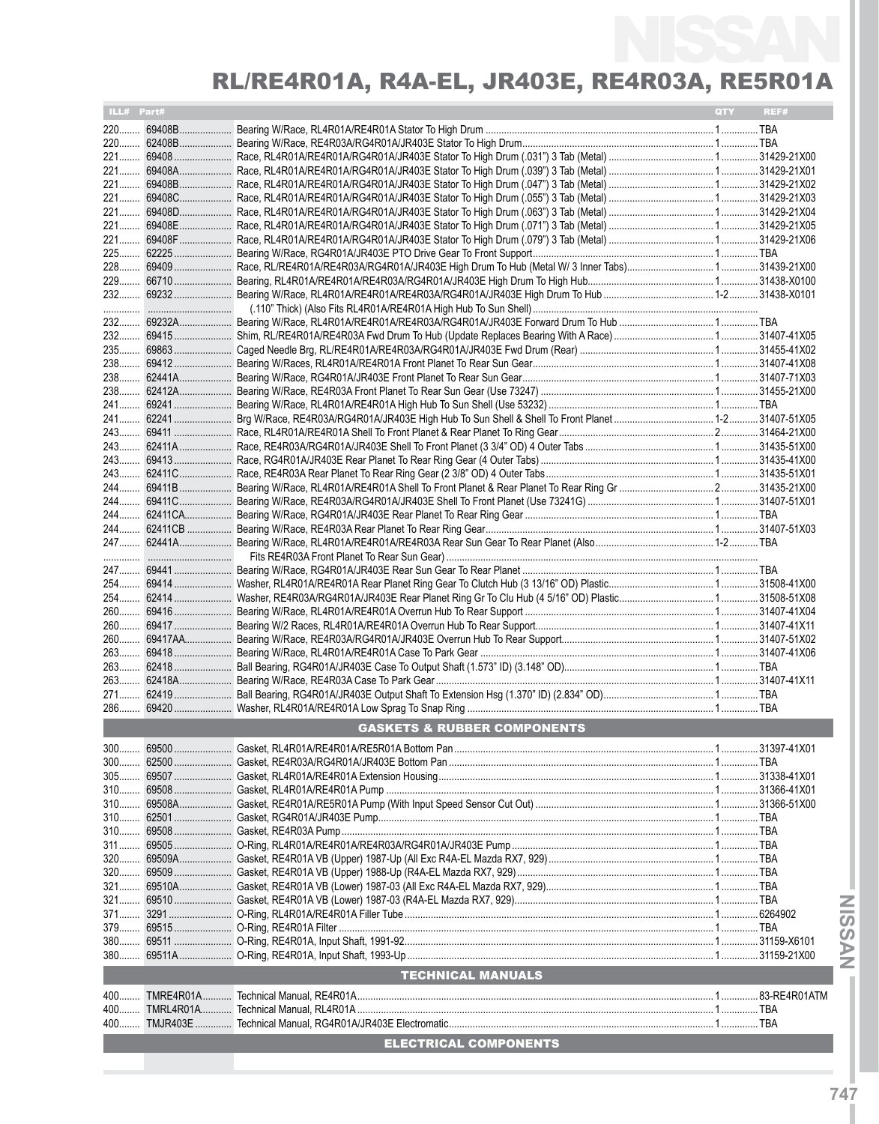| ILL# Part# |                         |                                        | QTY | REF# |
|------------|-------------------------|----------------------------------------|-----|------|
|            |                         |                                        |     |      |
|            | 220 62408B              |                                        |     |      |
|            |                         |                                        |     |      |
|            | 221 69408A              |                                        |     |      |
|            | 221 69408B              |                                        |     |      |
|            |                         |                                        |     |      |
|            | 221 69408D              |                                        |     |      |
|            | 221 69408F              |                                        |     |      |
|            |                         |                                        |     |      |
|            |                         |                                        |     |      |
|            |                         |                                        |     |      |
|            |                         |                                        |     |      |
|            |                         |                                        |     |      |
|            |                         |                                        |     |      |
|            |                         |                                        |     |      |
|            | 235 69863               |                                        |     |      |
|            | 238 69412               |                                        |     |      |
|            | 238 62441A              |                                        |     |      |
|            | 238 62412A              |                                        |     |      |
|            |                         |                                        |     |      |
|            |                         |                                        |     |      |
|            |                         |                                        |     |      |
|            |                         |                                        |     |      |
|            |                         |                                        |     |      |
|            |                         |                                        |     |      |
|            |                         |                                        |     |      |
|            | 244 62411CA             |                                        |     |      |
|            |                         |                                        |     |      |
|            |                         |                                        |     |      |
|            |                         |                                        |     |      |
|            |                         |                                        |     |      |
|            |                         |                                        |     |      |
|            |                         |                                        |     |      |
|            |                         |                                        |     |      |
|            |                         |                                        |     |      |
|            | 263 69418               |                                        |     |      |
|            |                         |                                        |     |      |
|            |                         |                                        |     |      |
|            |                         |                                        |     |      |
|            |                         |                                        |     |      |
|            |                         | <b>GASKETS &amp; RUBBER COMPONENTS</b> |     |      |
|            |                         |                                        |     |      |
|            |                         |                                        |     |      |
|            |                         |                                        |     |      |
|            |                         |                                        |     |      |
|            |                         |                                        |     |      |
|            |                         |                                        |     |      |
|            |                         |                                        |     |      |
|            | 311 69505<br>320 69509A |                                        |     |      |
|            |                         |                                        |     |      |
|            |                         |                                        |     |      |
|            |                         |                                        |     |      |
|            | 371 3291                |                                        |     |      |
|            | 379 69515               |                                        |     |      |
|            |                         |                                        |     |      |
|            |                         |                                        |     |      |
|            |                         | <b>TECHNICAL MANUALS</b>               |     |      |
|            |                         |                                        |     |      |
|            |                         |                                        |     |      |
|            |                         |                                        |     |      |
|            |                         | <b>ELECTRICAL COMPONENTS</b>           |     |      |
|            |                         |                                        |     |      |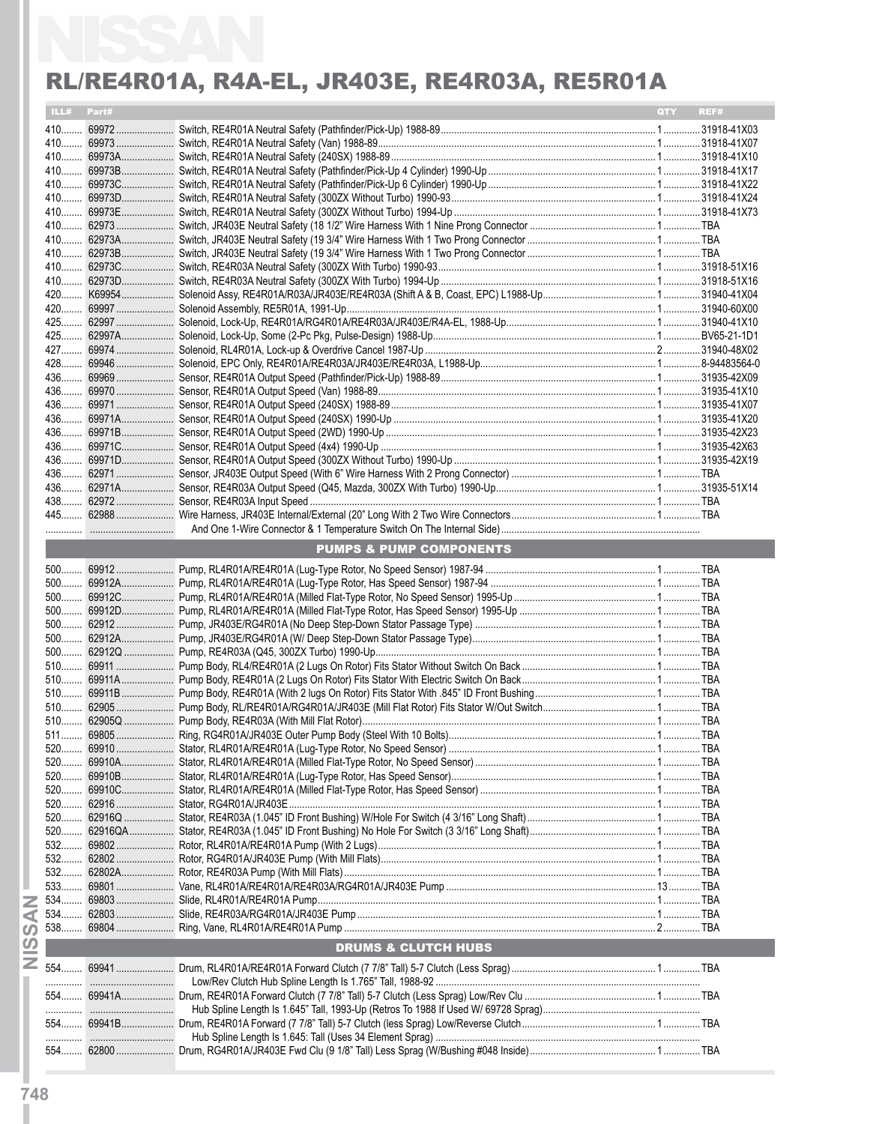|  |                                    | <b>OTY</b><br>REF# |
|--|------------------------------------|--------------------|
|  |                                    |                    |
|  |                                    |                    |
|  |                                    |                    |
|  |                                    |                    |
|  |                                    |                    |
|  |                                    |                    |
|  |                                    |                    |
|  |                                    |                    |
|  |                                    |                    |
|  |                                    |                    |
|  |                                    |                    |
|  |                                    |                    |
|  |                                    |                    |
|  |                                    |                    |
|  |                                    |                    |
|  |                                    |                    |
|  |                                    |                    |
|  |                                    |                    |
|  |                                    |                    |
|  |                                    |                    |
|  |                                    |                    |
|  |                                    |                    |
|  |                                    |                    |
|  |                                    |                    |
|  |                                    |                    |
|  |                                    |                    |
|  |                                    |                    |
|  | <b>PUMPS &amp; PUMP COMPONENTS</b> |                    |
|  |                                    |                    |
|  |                                    |                    |
|  |                                    |                    |
|  |                                    |                    |
|  |                                    |                    |
|  |                                    |                    |
|  |                                    |                    |
|  |                                    |                    |
|  |                                    |                    |
|  |                                    |                    |
|  |                                    |                    |
|  |                                    |                    |
|  |                                    |                    |
|  |                                    |                    |
|  |                                    |                    |
|  |                                    |                    |
|  |                                    |                    |
|  |                                    |                    |
|  |                                    |                    |
|  |                                    |                    |
|  |                                    |                    |
|  |                                    |                    |
|  |                                    |                    |
|  |                                    |                    |
|  |                                    |                    |
|  |                                    |                    |
|  | <b>DRUMS &amp; CLUTCH HUBS</b>     |                    |
|  |                                    |                    |
|  |                                    |                    |
|  |                                    |                    |
|  |                                    |                    |
|  |                                    |                    |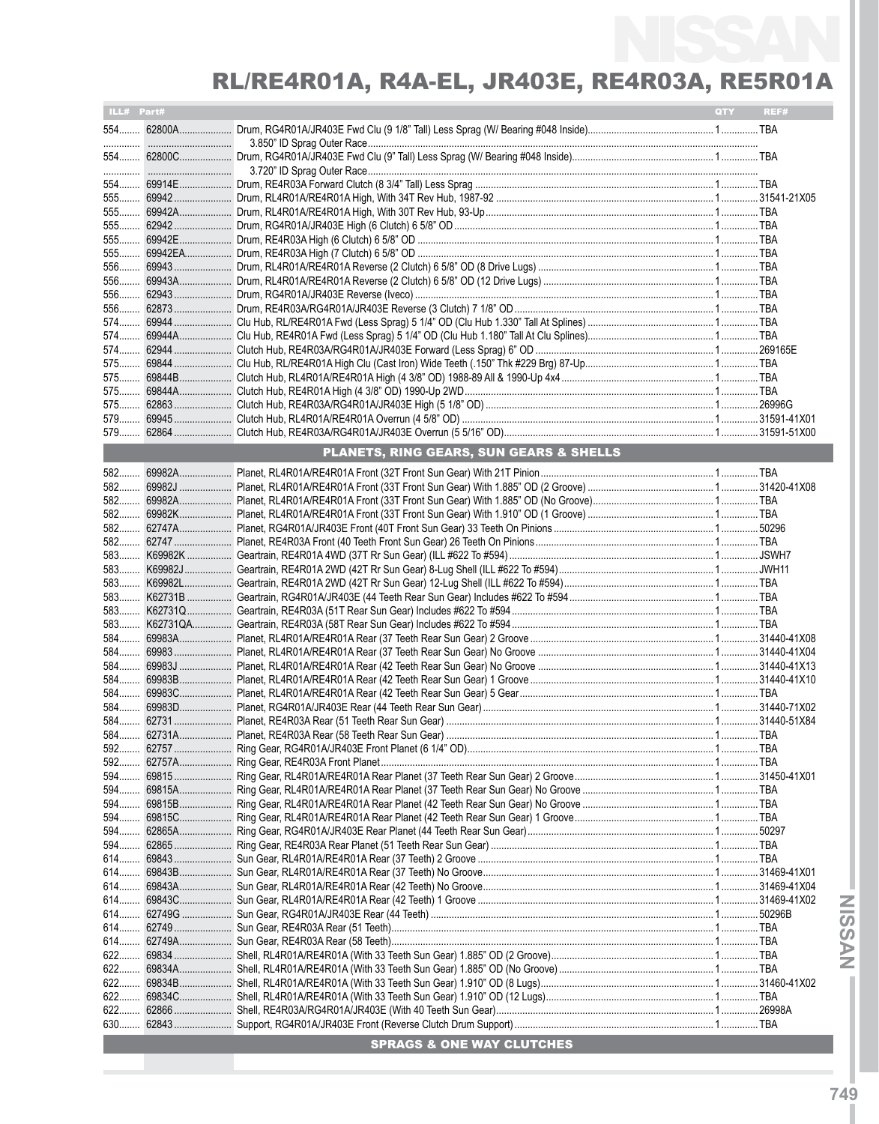| ILL# Part# |                                         | <b>QTY</b> | REF# |
|------------|-----------------------------------------|------------|------|
|            |                                         |            |      |
|            |                                         |            |      |
|            |                                         |            |      |
|            |                                         |            |      |
|            |                                         |            |      |
|            |                                         |            |      |
|            |                                         |            |      |
|            |                                         |            |      |
|            |                                         |            |      |
|            |                                         |            |      |
|            |                                         |            |      |
|            |                                         |            |      |
|            |                                         |            |      |
|            |                                         |            |      |
|            |                                         |            |      |
|            |                                         |            |      |
|            |                                         |            |      |
|            |                                         |            |      |
|            |                                         |            |      |
|            |                                         |            |      |
|            |                                         |            |      |
|            | PLANETS, RING GEARS, SUN GEARS & SHELLS |            |      |
|            |                                         |            |      |
|            |                                         |            |      |
|            |                                         |            |      |
|            |                                         |            |      |
|            |                                         |            |      |
|            |                                         |            |      |
|            |                                         |            |      |
|            |                                         |            |      |
|            |                                         |            |      |
|            |                                         |            |      |
|            |                                         |            |      |
|            |                                         |            |      |
|            |                                         |            |      |
|            |                                         |            |      |
|            |                                         |            |      |
|            |                                         |            |      |
|            |                                         |            |      |
|            |                                         |            |      |
|            |                                         |            |      |
|            |                                         |            |      |
|            |                                         |            |      |
|            |                                         |            |      |
|            |                                         |            |      |
|            |                                         |            |      |
|            |                                         |            |      |
|            |                                         |            |      |
|            |                                         |            |      |
|            |                                         |            |      |
|            |                                         |            |      |
|            |                                         |            |      |
|            |                                         |            |      |
|            |                                         |            |      |
|            |                                         |            |      |
|            |                                         |            |      |
| 622        |                                         |            |      |
|            |                                         |            |      |
|            |                                         |            |      |
|            |                                         |            |      |
|            |                                         |            |      |
| 630        |                                         |            |      |
|            | <b>SPRAGS &amp; ONE WAY CLUTCHES</b>    |            |      |

**NYSSIN INISSANI**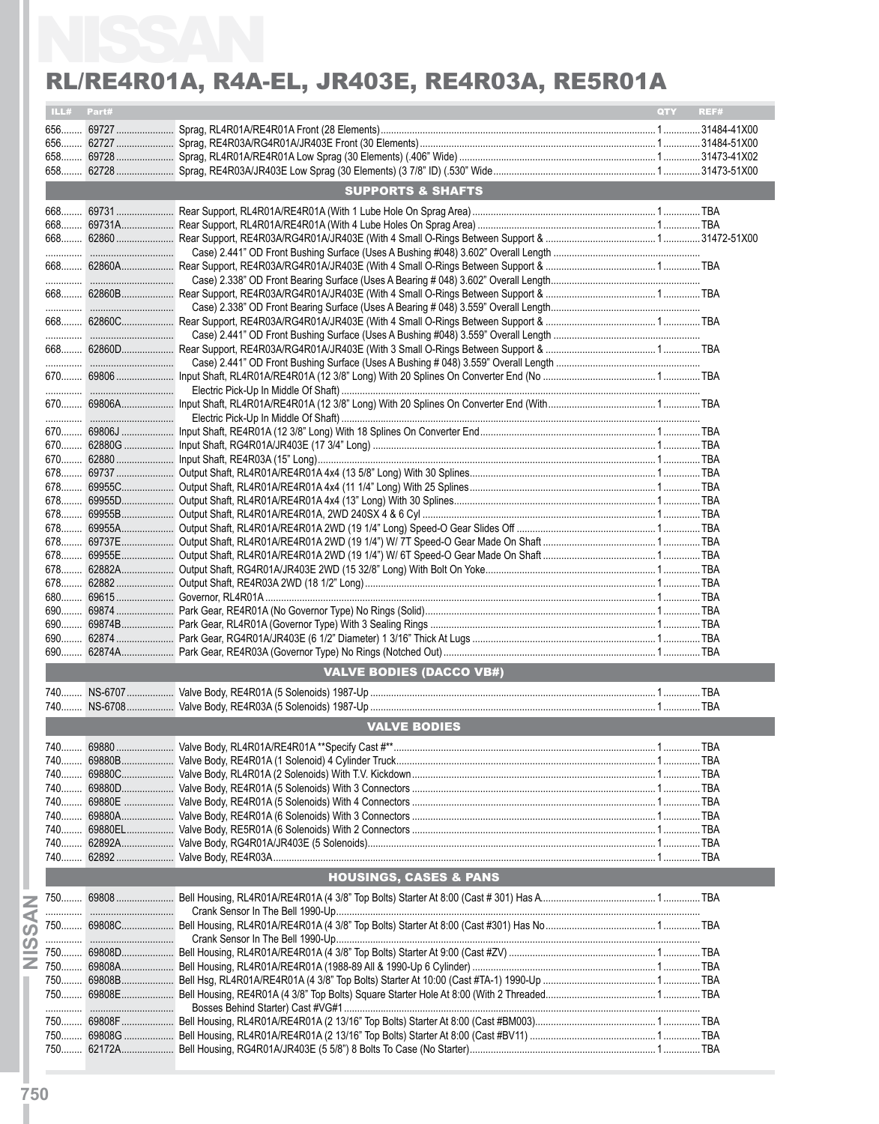| ILL# Part# |                                   | QTY | REF# |
|------------|-----------------------------------|-----|------|
|            |                                   |     |      |
|            |                                   |     |      |
|            |                                   |     |      |
|            |                                   |     |      |
|            | <b>SUPPORTS &amp; SHAFTS</b>      |     |      |
|            |                                   |     |      |
|            |                                   |     |      |
|            |                                   |     |      |
|            |                                   |     |      |
|            |                                   |     |      |
|            |                                   |     |      |
|            |                                   |     |      |
|            |                                   |     |      |
|            |                                   |     |      |
|            |                                   |     |      |
|            |                                   |     |      |
|            |                                   |     |      |
|            |                                   |     |      |
|            |                                   |     |      |
|            |                                   |     |      |
|            |                                   |     |      |
|            |                                   |     |      |
|            |                                   |     |      |
|            |                                   |     |      |
|            |                                   |     |      |
|            |                                   |     |      |
|            |                                   |     |      |
|            |                                   |     |      |
|            |                                   |     |      |
|            |                                   |     |      |
|            |                                   |     |      |
|            |                                   |     |      |
|            |                                   |     |      |
|            |                                   |     |      |
|            |                                   |     |      |
|            | <b>VALVE BODIES (DACCO VB#)</b>   |     |      |
|            |                                   |     |      |
|            |                                   |     |      |
|            | <b>VALVE BODIES</b>               |     |      |
|            |                                   |     |      |
|            |                                   |     |      |
|            |                                   |     |      |
|            |                                   |     |      |
|            |                                   |     |      |
|            |                                   |     |      |
|            |                                   |     |      |
|            |                                   |     |      |
|            | <b>HOUSINGS, CASES &amp; PANS</b> |     |      |
|            |                                   |     |      |
|            |                                   |     |      |
|            |                                   |     |      |
|            |                                   |     |      |
|            |                                   |     |      |
|            |                                   |     |      |
|            |                                   |     |      |
|            |                                   |     |      |
|            |                                   |     |      |
|            |                                   |     |      |
|            |                                   |     |      |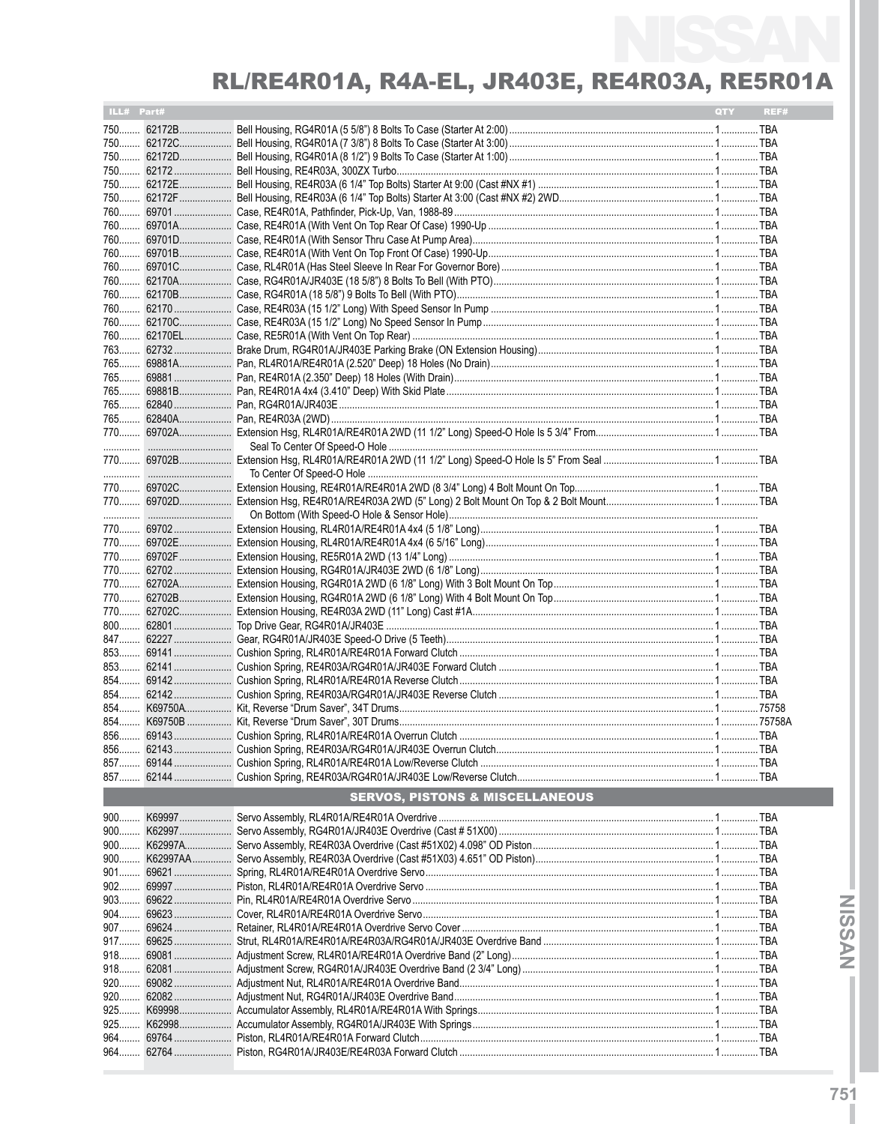| ILL# Part# |                                            | QTY <b>A</b> | REF# |
|------------|--------------------------------------------|--------------|------|
|            |                                            |              |      |
|            |                                            |              |      |
|            |                                            |              |      |
|            |                                            |              |      |
|            |                                            |              |      |
|            |                                            |              |      |
|            |                                            |              |      |
|            |                                            |              |      |
|            |                                            |              |      |
|            |                                            |              |      |
|            |                                            |              |      |
|            |                                            |              |      |
|            |                                            |              |      |
|            |                                            |              |      |
|            |                                            |              |      |
|            |                                            |              |      |
|            |                                            |              |      |
|            |                                            |              |      |
|            |                                            |              |      |
|            |                                            |              |      |
|            |                                            |              |      |
|            |                                            |              |      |
|            |                                            |              |      |
|            |                                            |              |      |
|            |                                            |              |      |
|            |                                            |              |      |
|            |                                            |              |      |
|            |                                            |              |      |
|            |                                            |              |      |
|            |                                            |              |      |
|            |                                            |              |      |
|            |                                            |              |      |
|            |                                            |              |      |
|            |                                            |              |      |
|            |                                            |              |      |
|            |                                            |              |      |
|            |                                            |              |      |
|            |                                            |              |      |
|            |                                            |              |      |
|            |                                            |              |      |
|            |                                            |              |      |
|            |                                            |              |      |
|            |                                            |              |      |
|            |                                            |              |      |
|            |                                            |              |      |
|            |                                            |              |      |
|            |                                            |              |      |
|            | <b>SERVOS, PISTONS &amp; MISCELLANEOUS</b> |              |      |
|            |                                            |              |      |
|            |                                            |              |      |
|            |                                            |              |      |
|            |                                            |              |      |
|            |                                            |              |      |
|            |                                            |              |      |
|            |                                            |              |      |
|            |                                            |              |      |
|            |                                            |              |      |
|            |                                            |              |      |
| 917        |                                            |              |      |
|            |                                            |              |      |
|            |                                            |              |      |
|            |                                            |              |      |
|            |                                            |              |      |
| 925<br>925 |                                            |              |      |
|            |                                            |              |      |
|            |                                            |              |      |
|            |                                            |              |      |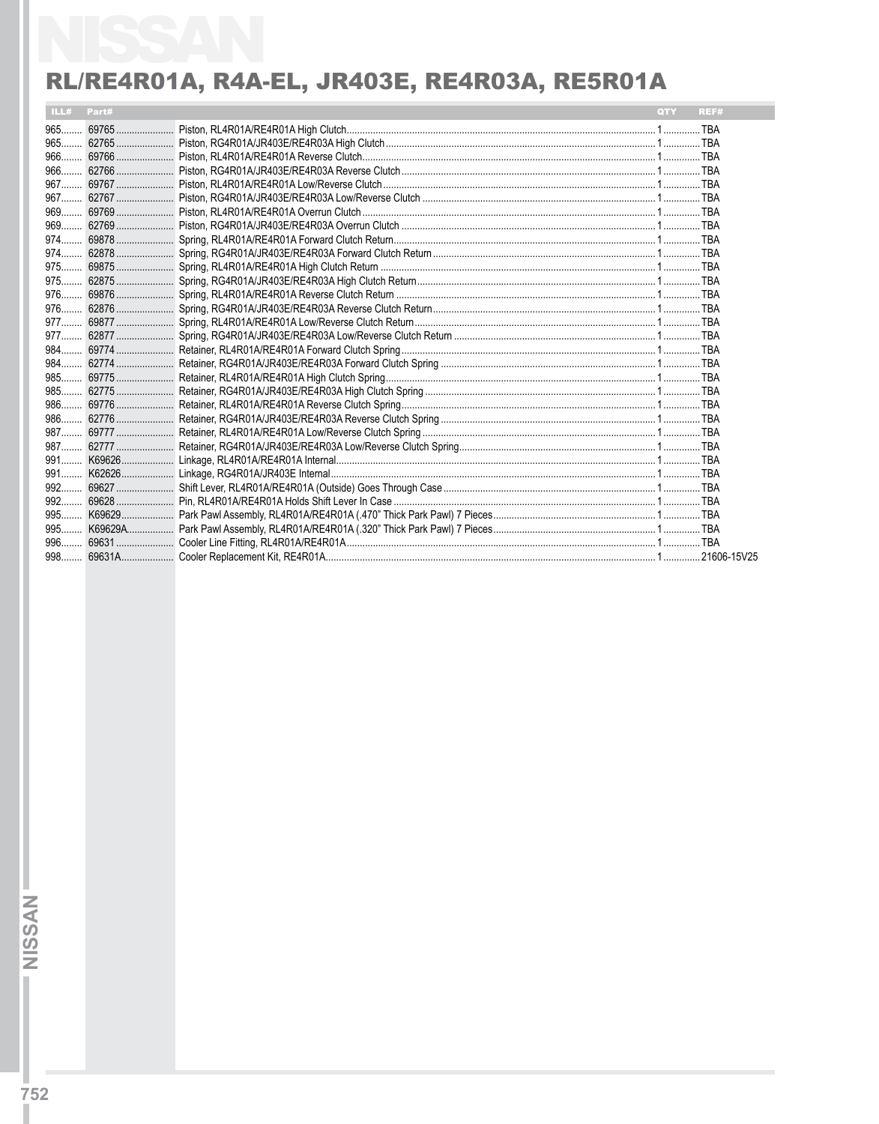| ILL# Part# |  | QTY . | REF# |
|------------|--|-------|------|
|            |  |       |      |
|            |  |       |      |
|            |  |       |      |
|            |  |       |      |
|            |  |       |      |
|            |  |       |      |
|            |  |       |      |
|            |  |       |      |
|            |  |       |      |
|            |  |       |      |
|            |  |       |      |
|            |  |       |      |
|            |  |       |      |
|            |  |       |      |
|            |  |       |      |
|            |  |       |      |
|            |  |       |      |
|            |  |       |      |
|            |  |       |      |
|            |  |       |      |
|            |  |       |      |
|            |  |       |      |
|            |  |       |      |
|            |  |       |      |
|            |  |       |      |
|            |  |       |      |
|            |  |       |      |
|            |  |       |      |
|            |  |       |      |
|            |  |       |      |
|            |  |       |      |
|            |  |       |      |